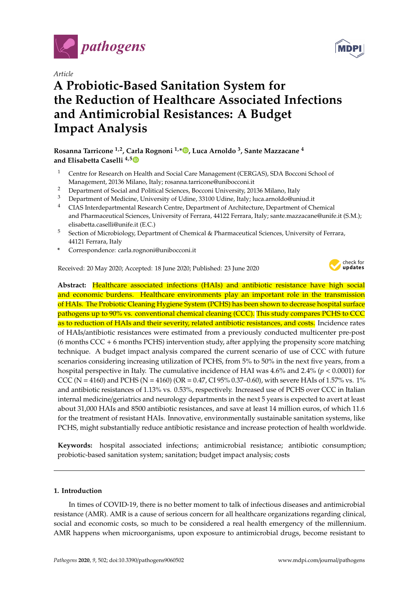

*Article*

# **A Probiotic-Based Sanitation System for the Reduction of Healthcare Associated Infections and Antimicrobial Resistances: A Budget Impact Analysis**

**Rosanna Tarricone 1,2, Carla Rognoni 1,[\\*](https://orcid.org/0000-0002-6330-0591) , Luca Arnoldo <sup>3</sup> , Sante Mazzacane <sup>4</sup> and Elisabetta Caselli 4,[5](https://orcid.org/0000-0001-6048-9141)**

- <sup>1</sup> Centre for Research on Health and Social Care Management (CERGAS), SDA Bocconi School of Management, 20136 Milano, Italy; rosanna.tarricone@unibocconi.it
- <sup>2</sup> Department of Social and Political Sciences, Bocconi University, 20136 Milano, Italy<br><sup>3</sup> Department of Modicine, University of Udine, 22100 Udine, Italy, Juga armeldo@uni
- <sup>3</sup> Department of Medicine, University of Udine, 33100 Udine, Italy; luca.arnoldo@uniud.it
- <sup>4</sup> CIAS Interdepartmental Research Centre, Department of Architecture, Department of Chemical and Pharmaceutical Sciences, University of Ferrara, 44122 Ferrara, Italy; sante.mazzacane@unife.it (S.M.); elisabetta.caselli@unife.it (E.C.)
- <sup>5</sup> Section of Microbiology, Department of Chemical & Pharmaceutical Sciences, University of Ferrara, 44121 Ferrara, Italy
- **\*** Correspondence: carla.rognoni@unibocconi.it

Received: 20 May 2020; Accepted: 18 June 2020; Published: 23 June 2020



**Abstract:** Healthcare associated infections (HAIs) and antibiotic resistance have high social and economic burdens. Healthcare environments play an important role in the transmission of HAIs. The Probiotic Cleaning Hygiene System (PCHS) has been shown to decrease hospital surface pathogens up to 90% vs. conventional chemical cleaning (CCC). This study compares PCHS to CCC as to reduction of HAIs and their severity, related antibiotic resistances, and costs. Incidence rates of HAIs/antibiotic resistances were estimated from a previously conducted multicenter pre-post  $(6$  months CCC + 6 months PCHS) intervention study, after applying the propensity score matching technique. A budget impact analysis compared the current scenario of use of CCC with future scenarios considering increasing utilization of PCHS, from 5% to 50% in the next five years, from a hospital perspective in Italy. The cumulative incidence of HAI was 4.6% and 2.4% (*p* < 0.0001) for CCC (N = 4160) and PCHS (N = 4160) (OR = 0.47, CI 95% 0.37–0.60), with severe HAIs of 1.57% vs. 1% and antibiotic resistances of 1.13% vs. 0.53%, respectively. Increased use of PCHS over CCC in Italian internal medicine/geriatrics and neurology departments in the next 5 years is expected to avert at least about 31,000 HAIs and 8500 antibiotic resistances, and save at least 14 million euros, of which 11.6 for the treatment of resistant HAIs. Innovative, environmentally sustainable sanitation systems, like PCHS, might substantially reduce antibiotic resistance and increase protection of health worldwide.

**Keywords:** hospital associated infections; antimicrobial resistance; antibiotic consumption; probiotic-based sanitation system; sanitation; budget impact analysis; costs

#### **1. Introduction**

In times of COVID-19, there is no better moment to talk of infectious diseases and antimicrobial resistance (AMR). AMR is a cause of serious concern for all healthcare organizations regarding clinical, social and economic costs, so much to be considered a real health emergency of the millennium. AMR happens when microorganisms, upon exposure to antimicrobial drugs, become resistant to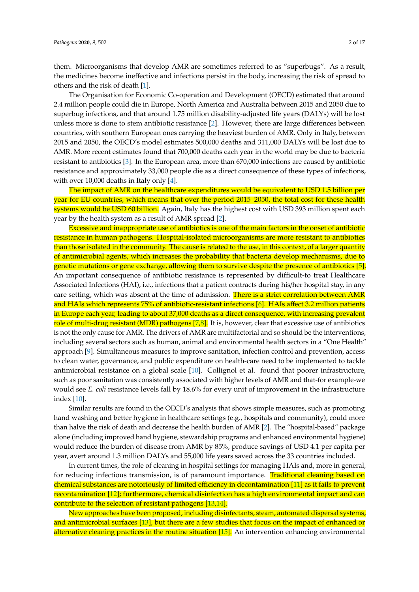them. Microorganisms that develop AMR are sometimes referred to as "superbugs". As a result, the medicines become ineffective and infections persist in the body, increasing the risk of spread to others and the risk of death [\[1\]](#page-14-0).

The Organisation for Economic Co-operation and Development (OECD) estimated that around 2.4 million people could die in Europe, North America and Australia between 2015 and 2050 due to superbug infections, and that around 1.75 million disability-adjusted life years (DALYs) will be lost unless more is done to stem antibiotic resistance [\[2\]](#page-14-1). However, there are large differences between countries, with southern European ones carrying the heaviest burden of AMR. Only in Italy, between 2015 and 2050, the OECD's model estimates 500,000 deaths and 311,000 DALYs will be lost due to AMR. More recent estimates found that 700,000 deaths each year in the world may be due to bacteria resistant to antibiotics [\[3\]](#page-14-2). In the European area, more than 670,000 infections are caused by antibiotic resistance and approximately 33,000 people die as a direct consequence of these types of infections, with over 10,000 deaths in Italy only [\[4\]](#page-14-3).

The impact of AMR on the healthcare expenditures would be equivalent to USD 1.5 billion per year for EU countries, which means that over the period 2015–2050, the total cost for these health systems would be USD 60 billion. Again, Italy has the highest cost with USD 393 million spent each year by the health system as a result of AMR spread [\[2\]](#page-14-1).

Excessive and inappropriate use of antibiotics is one of the main factors in the onset of antibiotic resistance in human pathogens. Hospital-isolated microorganisms are more resistant to antibiotics than those isolated in the community. The cause is related to the use, in this context, of a larger quantity of antimicrobial agents, which increases the probability that bacteria develop mechanisms, due to genetic mutations or gene exchange, allowing them to survive despite the presence of antibiotics [\[5\]](#page-14-4). An important consequence of antibiotic resistance is represented by difficult-to treat Healthcare Associated Infections (HAI), i.e., infections that a patient contracts during his/her hospital stay, in any care setting, which was absent at the time of admission. There is a strict correlation between AMR and HAIs which represents 75% of antibiotic-resistant infections [\[6\]](#page-14-5). HAIs affect 3.2 million patients in Europe each year, leading to about 37,000 deaths as a direct consequence, with increasing prevalent role of multi-drug resistant (MDR) pathogens [\[7,](#page-14-6)[8\]](#page-14-7). It is, however, clear that excessive use of antibiotics is not the only cause for AMR. The drivers of AMR are multifactorial and so should be the interventions, including several sectors such as human, animal and environmental health sectors in a "One Health" approach [\[9\]](#page-14-8). Simultaneous measures to improve sanitation, infection control and prevention, access to clean water, governance, and public expenditure on health-care need to be implemented to tackle antimicrobial resistance on a global scale [\[10\]](#page-14-9). Collignol et al. found that poorer infrastructure, such as poor sanitation was consistently associated with higher levels of AMR and that-for example-we would see *E. coli* resistance levels fall by 18.6% for every unit of improvement in the infrastructure index [\[10\]](#page-14-9).

Similar results are found in the OECD's analysis that shows simple measures, such as promoting hand washing and better hygiene in healthcare settings (e.g., hospitals and community), could more than halve the risk of death and decrease the health burden of AMR [\[2\]](#page-14-1). The "hospital-based" package alone (including improved hand hygiene, stewardship programs and enhanced environmental hygiene) would reduce the burden of disease from AMR by 85%, produce savings of USD 4.1 per capita per year, avert around 1.3 million DALYs and 55,000 life years saved across the 33 countries included.

In current times, the role of cleaning in hospital settings for managing HAIs and, more in general, for reducing infectious transmission, is of paramount importance. Traditional cleaning based on chemical substances are notoriously of limited efficiency in decontamination [\[11\]](#page-14-10) as it fails to prevent recontamination [\[12\]](#page-14-11); furthermore, chemical disinfection has a high environmental impact and can contribute to the selection of resistant pathogens [\[13,](#page-14-12)[14\]](#page-14-13).

New approaches have been proposed, including disinfectants, steam, automated dispersal systems, and antimicrobial surfaces [\[13\]](#page-14-12), but there are a few studies that focus on the impact of enhanced or alternative cleaning practices in the routine situation [\[15\]](#page-14-14). An intervention enhancing environmental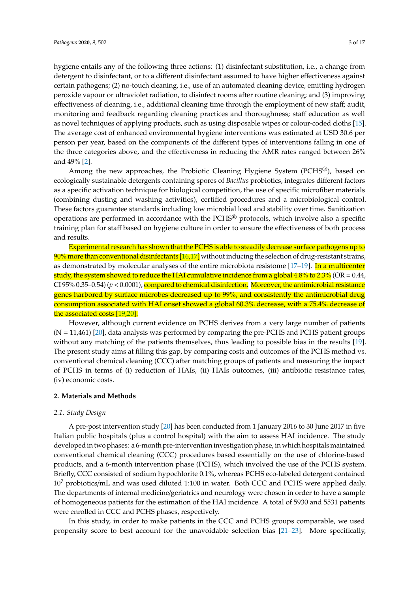hygiene entails any of the following three actions: (1) disinfectant substitution, i.e., a change from detergent to disinfectant, or to a different disinfectant assumed to have higher effectiveness against certain pathogens; (2) no-touch cleaning, i.e., use of an automated cleaning device, emitting hydrogen peroxide vapour or ultraviolet radiation, to disinfect rooms after routine cleaning; and (3) improving effectiveness of cleaning, i.e., additional cleaning time through the employment of new staff; audit, monitoring and feedback regarding cleaning practices and thoroughness; staff education as well as novel techniques of applying products, such as using disposable wipes or colour-coded cloths [\[15\]](#page-14-14). The average cost of enhanced environmental hygiene interventions was estimated at USD 30.6 per person per year, based on the components of the different types of interventions falling in one of the three categories above, and the effectiveness in reducing the AMR rates ranged between 26% and 49% [\[2\]](#page-14-1).

Among the new approaches, the Probiotic Cleaning Hygiene System (PCHS®), based on ecologically sustainable detergents containing spores of *Bacillus* probiotics, integrates different factors as a specific activation technique for biological competition, the use of specific microfiber materials (combining dusting and washing activities), certified procedures and a microbiological control. These factors guarantee standards including low microbial load and stability over time. Sanitization operations are performed in accordance with the  $PCHS<sup>®</sup>$  protocols, which involve also a specific training plan for staff based on hygiene culture in order to ensure the effectiveness of both process and results.

Experimental research has shown that the PCHS is able to steadily decrease surface pathogens up to  $90\%$  more than conventional disinfectants  $[16,17]$  $[16,17]$  without inducing the selection of drug-resistant strains, as demonstrated by molecular analyses of the entire microbiota resistome [\[17–](#page-14-16)[19\]](#page-15-0). In a multicenter study, the system showed to reduce the HAI cumulative incidence from a global 4.8% to 2.3% (OR =  $0.44$ , CI 95% 0.35–0.54) (*p* < 0.0001), compared to chemical disinfection. Moreover, the antimicrobial resistance genes harbored by surface microbes decreased up to 99%, and consistently the antimicrobial drug consumption associated with HAI onset showed a global 60.3% decrease, with a 75.4% decrease of the associated costs [\[19](#page-15-0)[,20\]](#page-15-1).

However, although current evidence on PCHS derives from a very large number of patients  $(N = 11,461)$  [\[20\]](#page-15-1), data analysis was performed by comparing the pre-PCHS and PCHS patient groups without any matching of the patients themselves, thus leading to possible bias in the results [\[19\]](#page-15-0). The present study aims at filling this gap, by comparing costs and outcomes of the PCHS method vs. conventional chemical cleaning (CCC) after matching groups of patients and measuring the impact of PCHS in terms of (i) reduction of HAIs, (ii) HAIs outcomes, (iii) antibiotic resistance rates, (iv) economic costs.

#### **2. Materials and Methods**

#### *2.1. Study Design*

A pre-post intervention study [\[20\]](#page-15-1) has been conducted from 1 January 2016 to 30 June 2017 in five Italian public hospitals (plus a control hospital) with the aim to assess HAI incidence. The study developed in two phases: a 6-month pre-intervention investigation phase, in which hospitals maintained conventional chemical cleaning (CCC) procedures based essentially on the use of chlorine-based products, and a 6-month intervention phase (PCHS), which involved the use of the PCHS system. Briefly, CCC consisted of sodium hypochlorite 0.1%, whereas PCHS eco-labeled detergent contained  $10<sup>7</sup>$  probiotics/mL and was used diluted 1:100 in water. Both CCC and PCHS were applied daily. The departments of internal medicine/geriatrics and neurology were chosen in order to have a sample of homogeneous patients for the estimation of the HAI incidence. A total of 5930 and 5531 patients were enrolled in CCC and PCHS phases, respectively.

In this study, in order to make patients in the CCC and PCHS groups comparable, we used propensity score to best account for the unavoidable selection bias [\[21](#page-15-2)[–23\]](#page-15-3). More specifically,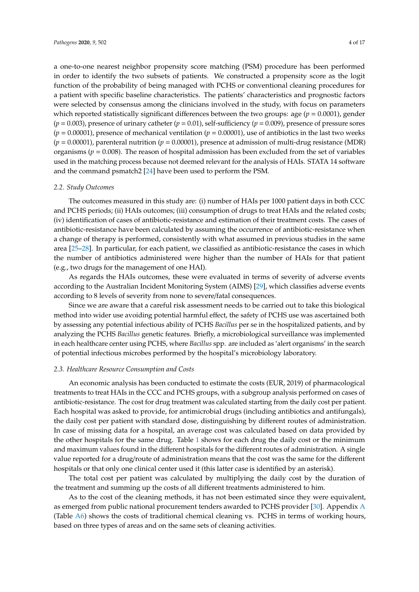a one-to-one nearest neighbor propensity score matching (PSM) procedure has been performed in order to identify the two subsets of patients. We constructed a propensity score as the logit function of the probability of being managed with PCHS or conventional cleaning procedures for a patient with specific baseline characteristics. The patients' characteristics and prognostic factors were selected by consensus among the clinicians involved in the study, with focus on parameters which reported statistically significant differences between the two groups: age (*p* = 0.0001), gender  $(p = 0.003)$ , presence of urinary catheter  $(p = 0.01)$ , self-sufficiency  $(p = 0.009)$ , presence of pressure sores  $(p = 0.00001)$ , presence of mechanical ventilation  $(p = 0.00001)$ , use of antibiotics in the last two weeks  $(p = 0.00001)$ , parenteral nutrition  $(p = 0.00001)$ , presence at admission of multi-drug resistance (MDR) organisms ( $p = 0.008$ ). The reason of hospital admission has been excluded from the set of variables used in the matching process because not deemed relevant for the analysis of HAIs. STATA 14 software

#### *2.2. Study Outcomes*

The outcomes measured in this study are: (i) number of HAIs per 1000 patient days in both CCC and PCHS periods; (ii) HAIs outcomes; (iii) consumption of drugs to treat HAIs and the related costs; (iv) identification of cases of antibiotic-resistance and estimation of their treatment costs. The cases of antibiotic-resistance have been calculated by assuming the occurrence of antibiotic-resistance when a change of therapy is performed, consistently with what assumed in previous studies in the same area [\[25–](#page-15-5)[28\]](#page-15-6). In particular, for each patient, we classified as antibiotic-resistance the cases in which the number of antibiotics administered were higher than the number of HAIs for that patient (e.g., two drugs for the management of one HAI).

and the command psmatch2 [\[24\]](#page-15-4) have been used to perform the PSM.

As regards the HAIs outcomes, these were evaluated in terms of severity of adverse events according to the Australian Incident Monitoring System (AIMS) [\[29\]](#page-15-7), which classifies adverse events according to 8 levels of severity from none to severe/fatal consequences.

Since we are aware that a careful risk assessment needs to be carried out to take this biological method into wider use avoiding potential harmful effect, the safety of PCHS use was ascertained both by assessing any potential infectious ability of PCHS *Bacillus* per se in the hospitalized patients, and by analyzing the PCHS *Bacillus* genetic features. Briefly, a microbiological surveillance was implemented in each healthcare center using PCHS, where *Bacillus* spp. are included as 'alert organisms' in the search of potential infectious microbes performed by the hospital's microbiology laboratory.

#### *2.3. Healthcare Resource Consumption and Costs*

An economic analysis has been conducted to estimate the costs (EUR, 2019) of pharmacological treatments to treat HAIs in the CCC and PCHS groups, with a subgroup analysis performed on cases of antibiotic-resistance. The cost for drug treatment was calculated starting from the daily cost per patient. Each hospital was asked to provide, for antimicrobial drugs (including antibiotics and antifungals), the daily cost per patient with standard dose, distinguishing by different routes of administration. In case of missing data for a hospital, an average cost was calculated based on data provided by the other hospitals for the same drug. Table [1](#page-4-0) shows for each drug the daily cost or the minimum and maximum values found in the different hospitals for the different routes of administration. A single value reported for a drug/route of administration means that the cost was the same for the different hospitals or that only one clinical center used it (this latter case is identified by an asterisk).

The total cost per patient was calculated by multiplying the daily cost by the duration of the treatment and summing up the costs of all different treatments administered to him.

As to the cost of the cleaning methods, it has not been estimated since they were equivalent, as emerged from public national procurement tenders awarded to PCHS provider [\[30\]](#page-15-8). Appendix [A](#page-11-0) (Table [A6\)](#page-13-0) shows the costs of traditional chemical cleaning vs. PCHS in terms of working hours, based on three types of areas and on the same sets of cleaning activities.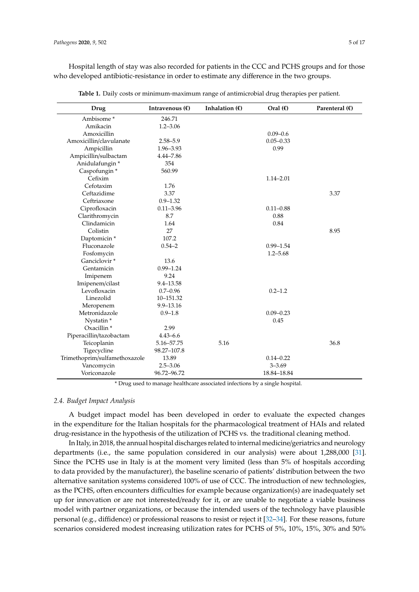Hospital length of stay was also recorded for patients in the CCC and PCHS groups and for those who developed antibiotic-resistance in order to estimate any difference in the two groups.

<span id="page-4-0"></span>

| Drug                          | Intravenous $(\epsilon)$ | Inhalation $(\epsilon)$ | Oral $(f)$    | Parenteral $(\epsilon)$ |
|-------------------------------|--------------------------|-------------------------|---------------|-------------------------|
| Ambisome*                     | 246.71                   |                         |               |                         |
| Amikacin                      | $1.2 - 3.06$             |                         |               |                         |
| Amoxicillin                   |                          |                         | $0.09 - 0.6$  |                         |
| Amoxicillin/clavulanate       | $2.58 - 5.9$             |                         | $0.05 - 0.33$ |                         |
| Ampicillin                    | 1.96-3.93                |                         | 0.99          |                         |
| Ampicillin/sulbactam          | $4.44 - 7.86$            |                         |               |                         |
| Anidulafungin*                | 354                      |                         |               |                         |
| Caspofungin*                  | 560.99                   |                         |               |                         |
| Cefixim                       |                          |                         | $1.14 - 2.01$ |                         |
| Cefotaxim                     | 1.76                     |                         |               |                         |
| Ceftazidime                   | 3.37                     |                         |               | 3.37                    |
| Ceftriaxone                   | $0.9 - 1.32$             |                         |               |                         |
| Ciprofloxacin                 | $0.11 - 3.96$            |                         | $0.11 - 0.88$ |                         |
| Clarithromycin                | 8.7                      |                         | 0.88          |                         |
| Clindamicin                   | 1.64                     |                         | 0.84          |                         |
| Colistin                      | 27                       |                         |               | 8.95                    |
| Daptomicin <sup>*</sup>       | 107.2                    |                         |               |                         |
| Fluconazole                   | $0.54 - 2$               |                         | $0.99 - 1.54$ |                         |
| Fosfomycin                    |                          |                         | $1.2 - 5.68$  |                         |
| Ganciclovir <sup>*</sup>      | 13.6                     |                         |               |                         |
| Gentamicin                    | $0.99 - 1.24$            |                         |               |                         |
| Imipenem                      | 9.24                     |                         |               |                         |
| Imipenem/cilast               | $9.4 - 13.58$            |                         |               |                         |
| Levofloxacin                  | $0.7 - 0.96$             |                         | $0.2 - 1.2$   |                         |
| Linezolid                     | 10-151.32                |                         |               |                         |
| Meropenem                     | 9.9-13.16                |                         |               |                         |
| Metronidazole                 | $0.9 - 1.8$              |                         | $0.09 - 0.23$ |                         |
| Nystatin*                     |                          |                         | 0.45          |                         |
| Oxacillin <sup>*</sup>        | 2.99                     |                         |               |                         |
| Piperacillin/tazobactam       | $4.43 - 6.6$             |                         |               |                         |
| Teicoplanin                   | 5.16-57.75               | 5.16                    |               | 36.8                    |
| Tigecycline                   | 98.27-107.8              |                         |               |                         |
| Trimethoprim/sulfamethoxazole | 13.89                    |                         | $0.14 - 0.22$ |                         |
| Vancomycin                    | $2.5 - 3.06$             |                         | $3 - 3.69$    |                         |
| Voriconazole                  | 96.72-96.72              |                         | 18.84-18.84   |                         |

**Table 1.** Daily costs or minimum-maximum range of antimicrobial drug therapies per patient.

\* Drug used to manage healthcare associated infections by a single hospital.

#### *2.4. Budget Impact Analysis*

A budget impact model has been developed in order to evaluate the expected changes in the expenditure for the Italian hospitals for the pharmacological treatment of HAIs and related drug-resistance in the hypothesis of the utilization of PCHS vs. the traditional cleaning method.

In Italy, in 2018, the annual hospital discharges related to internal medicine/geriatrics and neurology departments (i.e., the same population considered in our analysis) were about 1,288,000 [\[31\]](#page-15-9). Since the PCHS use in Italy is at the moment very limited (less than 5% of hospitals according to data provided by the manufacturer), the baseline scenario of patients' distribution between the two alternative sanitation systems considered 100% of use of CCC. The introduction of new technologies, as the PCHS, often encounters difficulties for example because organization(s) are inadequately set up for innovation or are not interested/ready for it, or are unable to negotiate a viable business model with partner organizations, or because the intended users of the technology have plausible personal (e.g., diffidence) or professional reasons to resist or reject it [\[32–](#page-15-10)[34\]](#page-15-11). For these reasons, future scenarios considered modest increasing utilization rates for PCHS of 5%, 10%, 15%, 30% and 50%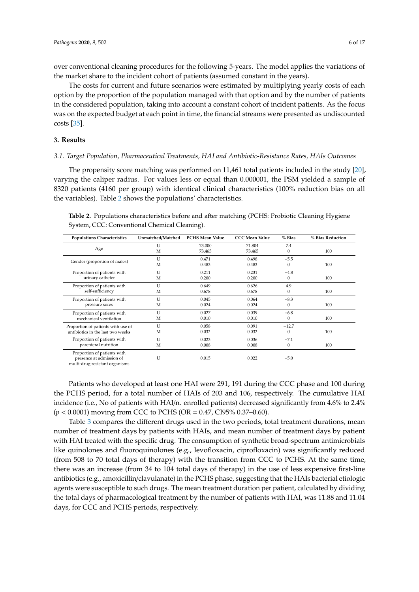over conventional cleaning procedures for the following 5-years. The model applies the variations of the market share to the incident cohort of patients (assumed constant in the years).

The costs for current and future scenarios were estimated by multiplying yearly costs of each option by the proportion of the population managed with that option and by the number of patients in the considered population, taking into account a constant cohort of incident patients. As the focus was on the expected budget at each point in time, the financial streams were presented as undiscounted costs [\[35\]](#page-15-12).

#### **3. Results**

#### *3.1. Target Population, Pharmaceutical Treatments, HAI and Antibiotic-Resistance Rates, HAIs Outcomes*

The propensity score matching was performed on 11,461 total patients included in the study [\[20\]](#page-15-1), varying the caliper radius. For values less or equal than 0.000001, the PSM yielded a sample of 8320 patients (4160 per group) with identical clinical characteristics (100% reduction bias on all the variables). Table [2](#page-5-0) shows the populations' characteristics.

<span id="page-5-0"></span>**Table 2.** Populations characteristics before and after matching (PCHS: Probiotic Cleaning Hygiene System, CCC: Conventional Chemical Cleaning).

| <b>Populations Characteristics</b>                                                        | Unmatched/Matched | <b>PCHS Mean Value</b> | <b>CCC Mean Value</b> | $%$ Bias     | % Bias Reduction |
|-------------------------------------------------------------------------------------------|-------------------|------------------------|-----------------------|--------------|------------------|
| Age                                                                                       | U<br>M            | 73.000<br>73.465       | 71.804<br>73.465      | 7.4<br>0     | 100              |
| Gender (proportion of males)                                                              | U<br>M            | 0.471<br>0.483         | 0.498<br>0.483        | $-5.5$<br>0  | 100              |
| Proportion of patients with                                                               | U                 | 0.211                  | 0.231                 | $-4.8$       | 100              |
| urinary catheter                                                                          | M                 | 0.200                  | 0.200                 | $\theta$     |                  |
| Proportion of patients with                                                               | U                 | 0.649                  | 0.626                 | 4.9          | 100              |
| self-sufficiency                                                                          | M                 | 0.678                  | 0.678                 | $\mathbf{0}$ |                  |
| Proportion of patients with                                                               | $\mathbf{U}$      | 0.045                  | 0.064                 | $-8.3$       | 100              |
| pressure sores                                                                            | M                 | 0.024                  | 0.024                 | $\Omega$     |                  |
| Proportion of patients with                                                               | U                 | 0.027                  | 0.039                 | $-6.8$       | 100              |
| mechanical ventilation                                                                    | М                 | 0.010                  | 0.010                 | $\mathbf{0}$ |                  |
| Proportion of patients with use of                                                        | U                 | 0.058                  | 0.091                 | $-12.7$      | 100              |
| antibiotics in the last two weeks                                                         | М                 | 0.032                  | 0.032                 | $\Omega$     |                  |
| Proportion of patients with                                                               | U                 | 0.023                  | 0.036                 | $-7.1$       | 100              |
| parenteral nutrition                                                                      | М                 | 0.008                  | 0.008                 | $\mathbf{0}$ |                  |
| Proportion of patients with<br>presence at admission of<br>multi-drug resistant organisms | U                 | 0.015                  | 0.022                 | $-5.0$       |                  |

Patients who developed at least one HAI were 291, 191 during the CCC phase and 100 during the PCHS period, for a total number of HAIs of 203 and 106, respectively. The cumulative HAI incidence (i.e., No of patients with HAI/n. enrolled patients) decreased significantly from 4.6% to 2.4% (*p* < 0.0001) moving from CCC to PCHS (OR = 0.47, CI95% 0.37–0.60).

Table [3](#page-6-0) compares the different drugs used in the two periods, total treatment durations, mean number of treatment days by patients with HAIs, and mean number of treatment days by patient with HAI treated with the specific drug. The consumption of synthetic broad-spectrum antimicrobials like quinolones and fluoroquinolones (e.g., levofloxacin, ciprofloxacin) was significantly reduced (from 508 to 70 total days of therapy) with the transition from CCC to PCHS. At the same time, there was an increase (from 34 to 104 total days of therapy) in the use of less expensive first-line antibiotics (e.g., amoxicillin/clavulanate) in the PCHS phase, suggesting that the HAIs bacterial etiologic agents were susceptible to such drugs. The mean treatment duration per patient, calculated by dividing the total days of pharmacological treatment by the number of patients with HAI, was 11.88 and 11.04 days, for CCC and PCHS periods, respectively.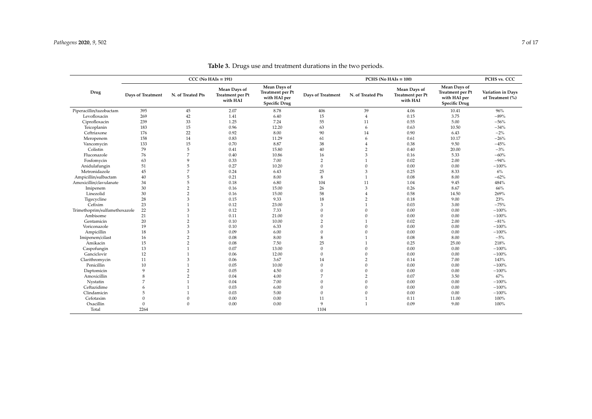<span id="page-6-0"></span>

|                               |                   | $CCC (No HAIs = 191)$ |                                                     |                                                                                 | $PCHS (No HAIs = 100)$   |                   |                                              | PCHS vs. CCC                                                                    |                                       |
|-------------------------------|-------------------|-----------------------|-----------------------------------------------------|---------------------------------------------------------------------------------|--------------------------|-------------------|----------------------------------------------|---------------------------------------------------------------------------------|---------------------------------------|
| Drug                          | Days of Treatment | N. of Treated Pts     | Mean Days of<br><b>Treatment per Pt</b><br>with HAI | Mean Days of<br><b>Treatment per Pt</b><br>with HAI per<br><b>Specific Drug</b> | <b>Days of Treatment</b> | N. of Treated Pts | Mean Days of<br>Treatment per Pt<br>with HAI | Mean Days of<br><b>Treatment</b> per Pt<br>with HAI per<br><b>Specific Drug</b> | Variation in Days<br>of Treatment (%) |
| Piperacillin/tazobactam       | 395               | 45                    | 2.07                                                | 8.78                                                                            | 406                      | 39                | 4.06                                         | 10.41                                                                           | 96%                                   |
| Levofloxacin                  | 269               | 42                    | 1.41                                                | 6.40                                                                            | 15                       | $\overline{4}$    | 0.15                                         | 3.75                                                                            | $-89%$                                |
| Ciprofloxacin                 | 239               | 33                    | 1.25                                                | 7.24                                                                            | 55                       | 11                | 0.55                                         | 5.00                                                                            | $-56%$                                |
| Teicoplanin                   | 183               | 15                    | 0.96                                                | 12.20                                                                           | 63                       | 6                 | 0.63                                         | 10.50                                                                           | $-34%$                                |
| Ceftriaxone                   | 176               | 22                    | 0.92                                                | 8.00                                                                            | 90                       | 14                | 0.90                                         | 6.43                                                                            | $-2%$                                 |
| Meropenem                     | 158               | 14                    | 0.83                                                | 11.29                                                                           | 61                       | 6                 | 0.61                                         | 10.17                                                                           | $-26%$                                |
| Vancomycin                    | 133               | 15                    | 0.70                                                | 8.87                                                                            | 38                       | $\overline{4}$    | 0.38                                         | 9.50                                                                            | $-45%$                                |
| Colistin                      | 79                | $\,$ 5 $\,$           | 0.41                                                | 15.80                                                                           | $40\,$                   | $\overline{2}$    | 0.40                                         | 20.00                                                                           | $-3%$                                 |
| Fluconazole                   | 76                | $\overline{7}$        | 0.40                                                | 10.86                                                                           | 16                       | 3                 | 0.16                                         | 5.33                                                                            | $-60%$                                |
| Fosfomycin                    | 63                | $\mathbf{Q}$          | 0.33                                                | 7.00                                                                            | $\overline{2}$           |                   | 0.02                                         | 2.00                                                                            | $-94%$                                |
| Anidulafungin                 | 51                | 5                     | 0.27                                                | 10.20                                                                           | $\boldsymbol{0}$         | $\Omega$          | 0.00                                         | 0.00                                                                            | $-100%$                               |
| Metronidazole                 | 45                | $\overline{7}$        | 0.24                                                | 6.43                                                                            | 25                       | 3                 | 0.25                                         | 8.33                                                                            | 6%                                    |
| Ampicillin/sulbactam          | 40                | 5                     | 0.21                                                | 8.00                                                                            | 8                        |                   | 0.08                                         | 8.00                                                                            | $-62%$                                |
| Amoxicillin/clavulanate       | 34                | 5                     | 0.18                                                | 6.80                                                                            | 104                      | 11                | 1.04                                         | 9.45                                                                            | 484%                                  |
| Imipenem                      | 30                | $\overline{2}$        | 0.16                                                | 15.00                                                                           | 26                       | 3                 | 0.26                                         | 8.67                                                                            | 66%                                   |
| Linezolid                     | $30\,$            | $\overline{2}$        | 0.16                                                | 15.00                                                                           | 58                       |                   | 0.58                                         | 14.50                                                                           | 269%                                  |
| Tigecycline                   | 28                | 3                     | 0.15                                                | 9.33                                                                            | 18                       | $\overline{2}$    | 0.18                                         | 9.00                                                                            | 23%                                   |
| Cefixim                       | 23                |                       | 0.12                                                | 23.00                                                                           | 3                        |                   | 0.03                                         | 3.00                                                                            | $-75%$                                |
| Trimethoprim/sulfamethoxazole | 22                | 3                     | 0.12                                                | 7.33                                                                            | $\Omega$                 | $\Omega$          | 0.00                                         | 0.00                                                                            | $-100%$                               |
| Ambisome                      | 21                |                       | 0.11                                                | 21.00                                                                           | $\theta$                 | $\Omega$          | 0.00                                         | 0.00                                                                            | $-100%$                               |
| Gentamicin                    | 20                | $\overline{2}$        | 0.10                                                | 10.00                                                                           | $\overline{2}$           |                   | 0.02                                         | 2.00                                                                            | $-81%$                                |
| Voriconazole                  | 19                | 3                     | 0.10                                                | 6.33                                                                            | $\theta$                 | $\Omega$          | 0.00                                         | 0.00                                                                            | $-100%$                               |
| Ampicillin                    | 18                | 3                     | 0.09                                                | 6.00                                                                            | $\mathbf{0}$             | $\Omega$          | 0.00                                         | $0.00\,$                                                                        | $-100%$                               |
| Imipenem/cilast               | 16                | $\overline{2}$        | 0.08                                                | 8.00                                                                            | 8                        |                   | 0.08                                         | 8.00                                                                            | $-5%$                                 |
| Amikacin                      | 15                | $\overline{2}$        | 0.08                                                | 7.50                                                                            | 25                       |                   | 0.25                                         | 25.00                                                                           | 218%                                  |
| Caspofungin                   | 13                | $\mathbf{1}$          | 0.07                                                | 13.00                                                                           | $\mathbf{0}$             | $\Omega$          | 0.00                                         | 0.00                                                                            | $-100%$                               |
| Ganciclovir                   | 12                |                       | 0.06                                                | 12.00                                                                           | $\mathbf{0}$             | $\Omega$          | 0.00                                         | 0.00                                                                            | $-100%$                               |
| Clarithromycin                | 11                | 3                     | 0.06                                                | 3.67                                                                            | 14                       | $\overline{2}$    | 0.14                                         | 7.00                                                                            | 143%                                  |
| Penicillin                    | 10                |                       | 0.05                                                | 10.00                                                                           | $\mathbf{0}$             | $\Omega$          | 0.00                                         | 0.00                                                                            | $-100%$                               |
| Daptomicin                    | 9                 | $\overline{2}$        | 0.05                                                | 4.50                                                                            | $\theta$                 | $\Omega$          | 0.00                                         | 0.00                                                                            | $-100%$                               |
| Amoxicillin                   | 8                 | $\overline{2}$        | 0.04                                                | 4.00                                                                            | $\overline{7}$           | $\overline{2}$    | 0.07                                         | 3.50                                                                            | 67%                                   |
| Nystatin                      | 7                 |                       | 0.04                                                | 7.00                                                                            | $\Omega$                 | $\Omega$          | 0.00                                         | 0.00                                                                            | $-100%$                               |
| Ceftazidime                   | 6                 |                       | 0.03                                                | 6.00                                                                            | $\Omega$                 | $\Omega$          | 0.00                                         | 0.00                                                                            | $-100%$                               |
| Clindamicin                   | 5                 |                       | 0.03                                                | 5.00                                                                            | $\Omega$                 | $\Omega$          | 0.00                                         | 0.00                                                                            | $-100%$                               |
| Cefotaxim                     | $\mathbf{0}$      | $\Omega$              | 0.00                                                | 0.00                                                                            | 11                       |                   | 0.11                                         | 11.00                                                                           | 100%                                  |
| Oxacillin                     | $\mathbf{0}$      | $\Omega$              | 0.00                                                | 0.00                                                                            | $\mathbf{Q}$             |                   | 0.09                                         | 9.00                                                                            | 100%                                  |
| Total                         | 2264              |                       |                                                     |                                                                                 | 1104                     |                   |                                              |                                                                                 |                                       |

**Table 3.** Drugs use and treatment durations in the two periods.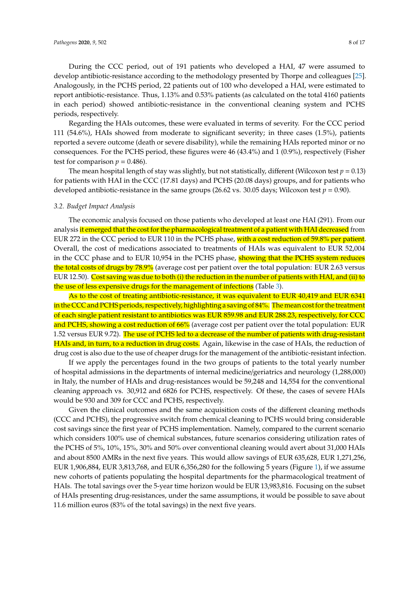During the CCC period, out of 191 patients who developed a HAI, 47 were assumed to develop antibiotic-resistance according to the methodology presented by Thorpe and colleagues [\[25\]](#page-15-5). Analogously, in the PCHS period, 22 patients out of 100 who developed a HAI, were estimated to report antibiotic-resistance. Thus, 1.13% and 0.53% patients (as calculated on the total 4160 patients in each period) showed antibiotic-resistance in the conventional cleaning system and PCHS periods, respectively.

Regarding the HAIs outcomes, these were evaluated in terms of severity. For the CCC period 111 (54.6%), HAIs showed from moderate to significant severity; in three cases (1.5%), patients reported a severe outcome (death or severe disability), while the remaining HAIs reported minor or no consequences. For the PCHS period, these figures were 46 (43.4%) and 1 (0.9%), respectively (Fisher test for comparison  $p = 0.486$ .

The mean hospital length of stay was slightly, but not statistically, different (Wilcoxon test  $p = 0.13$ ) for patients with HAI in the CCC (17.81 days) and PCHS (20.08 days) groups, and for patients who developed antibiotic-resistance in the same groups (26.62 vs. 30.05 days; Wilcoxon test  $p = 0.90$ ).

#### *3.2. Budget Impact Analysis*

The economic analysis focused on those patients who developed at least one HAI (291). From our analysis it emerged that the cost for the pharmacological treatment of a patient with HAI decreased from EUR 272 in the CCC period to EUR 110 in the PCHS phase, with a cost reduction of 59.8% per patient. Overall, the cost of medications associated to treatments of HAIs was equivalent to EUR 52,004 in the CCC phase and to EUR 10,954 in the PCHS phase, showing that the PCHS system reduces the total costs of drugs by 78.9% (average cost per patient over the total population: EUR 2.63 versus EUR 12.50). Cost saving was due to both (i) the reduction in the number of patients with HAI, and (ii) to the use of less expensive drugs for the management of infections (Table [3\)](#page-6-0).

As to the cost of treating antibiotic-resistance, it was equivalent to EUR 40,419 and EUR 6341 in the CCC and PCHS periods, respectively, highlighting a saving of 84%. The mean cost for the treatment of each single patient resistant to antibiotics was EUR 859.98 and EUR 288.23, respectively, for CCC and PCHS, showing a cost reduction of 66% (average cost per patient over the total population: EUR 1.52 versus EUR 9.72). The use of PCHS led to a decrease of the number of patients with drug-resistant HAIs and, in turn, to a reduction in drug costs. Again, likewise in the case of HAIs, the reduction of drug cost is also due to the use of cheaper drugs for the management of the antibiotic-resistant infection.

If we apply the percentages found in the two groups of patients to the total yearly number of hospital admissions in the departments of internal medicine/geriatrics and neurology (1,288,000) in Italy, the number of HAIs and drug-resistances would be 59,248 and 14,554 for the conventional cleaning approach vs. 30,912 and 6826 for PCHS, respectively. Of these, the cases of severe HAIs would be 930 and 309 for CCC and PCHS, respectively.

Given the clinical outcomes and the same acquisition costs of the different cleaning methods (CCC and PCHS), the progressive switch from chemical cleaning to PCHS would bring considerable cost savings since the first year of PCHS implementation. Namely, compared to the current scenario which considers 100% use of chemical substances, future scenarios considering utilization rates of the PCHS of 5%, 10%, 15%, 30% and 50% over conventional cleaning would avert about 31,000 HAIs and about 8500 AMRs in the next five years. This would allow savings of EUR 635,628, EUR 1,271,256, EUR 1,906,884, EUR 3,813,768, and EUR 6,356,280 for the following 5 years (Figure [1\)](#page-8-0), if we assume new cohorts of patients populating the hospital departments for the pharmacological treatment of HAIs. The total savings over the 5-year time horizon would be EUR 13,983,816. Focusing on the subset of HAIs presenting drug-resistances, under the same assumptions, it would be possible to save about 11.6 million euros (83% of the total savings) in the next five years.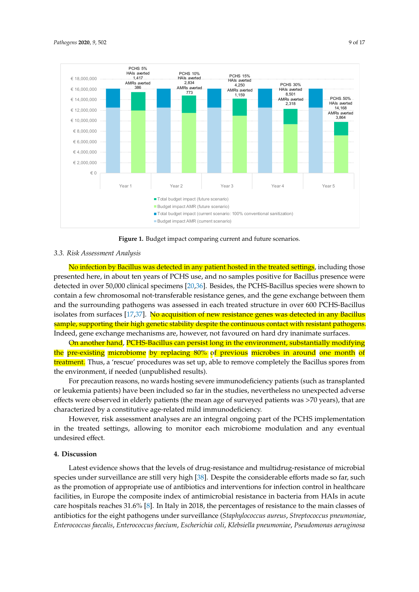<span id="page-8-0"></span>

**Figure 1.** Budget impact comparing current and future scenarios. **Figure 1.** Budget impact comparing current and future scenarios.

## *3.3. Risk Assessment Analysis 3.3. Risk Assessment Analysis*

No infection by Bacillus was detected in any patient hosted in the treated settings, including No infection by Bacillus was detected in any patient hosted in the treated settings, including those presented here, in about ten years of PCHS use, and no samples positive for Bacillus presence were detected in over 50,000 clinical specimens [\[20,](#page-15-1)[36\]](#page-15-13). Besides, the PCHS-Bacillus species were shown to contain a few chromosomal not-transferable resistance genes, and the gene exchange between them and the surrounding pathogens was assessed in each treated structure in over 600 PCHS-Bacillus isolates from surfaces [\[17,](#page-14-16)[37\]](#page-15-14). <mark>No acquisition of new resistance genes was detected in any Bacillus</mark> sample, supporting their high genetic stability despite the continuous contact with resistant pathogens. Indeed, gene exchange mechanisms are, however, not favoured on hard dry inanimate surfaces.

On another hand, PCHS-Bacillus can persist long in the environment, substantially modifying the pre-existing microbiome by replacing 80% of previous microbes in around one month of <mark>treatment.</mark> Thus, a 'rescue' procedures was set up, able to remove completely the Bacillus spores from the environment, if needed (unpublished results).

For precaution reasons, no wards hosting severe immunodeficiency patients (such as transplanted or leukemia patients) have been included so far in the studies, nevertheless no unexpected adverse effects were observed in elderly patients (the mean age of surveyed patients was >70 years), that are characterized by a constitutive age-related mild immunodeficiency.

However, risk assessment analyses are an integral ongoing part of the PCHS implementation in the treated settings, allowing to monitor each microbiome modulation and any eventual  $t$  the treated settings, allowing to monoton each microbiome modulation and any eventual undersired  $t$ undesired effect.

## 4. Discussion

Latest evidence shows that the levels of drug-resistance and multidrug-resistance of microbial species under surveillance are still very high  $[38]$ . Despite the considerable efforts made so far, such as the promotion of appropriate use of antibiotics and interventions for infection control in healthcare facilities, in Europe the composite index of antimicrobial resistance in bacteria from HAIs in acute care hospitals reaches 31.6% [\[8\]](#page-14-7). In Italy in 2018, the percentages of resistance to the main classes of antibiotics for the eight pathogens under surveillance (*Staphylococcus aureus*, *Streptococcus pneumoniae*, Enterococcus faecalis, Enterococcus faecium, Escherichia coli, Klebsiella pneumoniae, Pseudomonas aeruginosa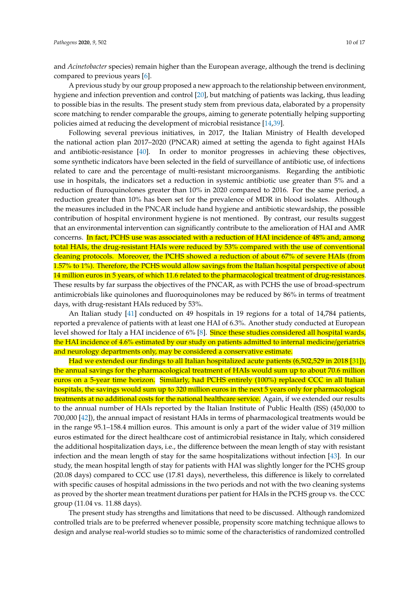and *Acinetobacter* species) remain higher than the European average, although the trend is declining compared to previous years [\[6\]](#page-14-5).

A previous study by our group proposed a new approach to the relationship between environment, hygiene and infection prevention and control [\[20\]](#page-15-1), but matching of patients was lacking, thus leading to possible bias in the results. The present study stem from previous data, elaborated by a propensity score matching to render comparable the groups, aiming to generate potentially helping supporting policies aimed at reducing the development of microbial resistance [\[14](#page-14-13)[,39\]](#page-15-16).

Following several previous initiatives, in 2017, the Italian Ministry of Health developed the national action plan 2017–2020 (PNCAR) aimed at setting the agenda to fight against HAIs and antibiotic-resistance [\[40\]](#page-16-0). In order to monitor progresses in achieving these objectives, some synthetic indicators have been selected in the field of surveillance of antibiotic use, of infections related to care and the percentage of multi-resistant microorganisms. Regarding the antibiotic use in hospitals, the indicators set a reduction in systemic antibiotic use greater than 5% and a reduction of fluroquinolones greater than 10% in 2020 compared to 2016. For the same period, a reduction greater than 10% has been set for the prevalence of MDR in blood isolates. Although the measures included in the PNCAR include hand hygiene and antibiotic stewardship, the possible contribution of hospital environment hygiene is not mentioned. By contrast, our results suggest that an environmental intervention can significantly contribute to the amelioration of HAI and AMR concerns. In fact, PCHS use was associated with a reduction of HAI incidence of 48% and, among total HAIs, the drug-resistant HAIs were reduced by 53% compared with the use of conventional cleaning protocols. Moreover, the PCHS showed a reduction of about 67% of severe HAIs (from 1.57% to 1%). Therefore, the PCHS would allow savings from the Italian hospital perspective of about 14 million euros in 5 years, of which 11.6 related to the pharmacological treatment of drug-resistances. These results by far surpass the objectives of the PNCAR, as with PCHS the use of broad-spectrum antimicrobials like quinolones and fluoroquinolones may be reduced by 86% in terms of treatment days, with drug-resistant HAIs reduced by 53%.

An Italian study [\[41\]](#page-16-1) conducted on 49 hospitals in 19 regions for a total of 14,784 patients, reported a prevalence of patients with at least one HAI of 6.3%. Another study conducted at European level showed for Italy a HAI incidence of 6% [\[8\]](#page-14-7). Since these studies considered all hospital wards, the HAI incidence of 4.6% estimated by our study on patients admitted to internal medicine/geriatrics and neurology departments only, may be considered a conservative estimate.

Had we extended our findings to all Italian hospitalized acute patients (6,502,529 in 2018 [\[31\]](#page-15-9)), the annual savings for the pharmacological treatment of HAIs would sum up to about 70.6 million euros on a 5-year time horizon. Similarly, had PCHS entirely (100%) replaced CCC in all Italian hospitals, the savings would sum up to 320 million euros in the next 5 years only for pharmacological treatments at no additional costs for the national healthcare service. Again, if we extended our results to the annual number of HAIs reported by the Italian Institute of Public Health (ISS) (450,000 to 700,000 [\[42\]](#page-16-2)), the annual impact of resistant HAIs in terms of pharmacological treatments would be in the range 95.1–158.4 million euros. This amount is only a part of the wider value of 319 million euros estimated for the direct healthcare cost of antimicrobial resistance in Italy, which considered the additional hospitalization days, i.e., the difference between the mean length of stay with resistant infection and the mean length of stay for the same hospitalizations without infection [\[43\]](#page-16-3). In our study, the mean hospital length of stay for patients with HAI was slightly longer for the PCHS group (20.08 days) compared to CCC use (17.81 days), nevertheless, this difference is likely to correlated with specific causes of hospital admissions in the two periods and not with the two cleaning systems as proved by the shorter mean treatment durations per patient for HAIs in the PCHS group vs. the CCC group (11.04 vs. 11.88 days).

The present study has strengths and limitations that need to be discussed. Although randomized controlled trials are to be preferred whenever possible, propensity score matching technique allows to design and analyse real-world studies so to mimic some of the characteristics of randomized controlled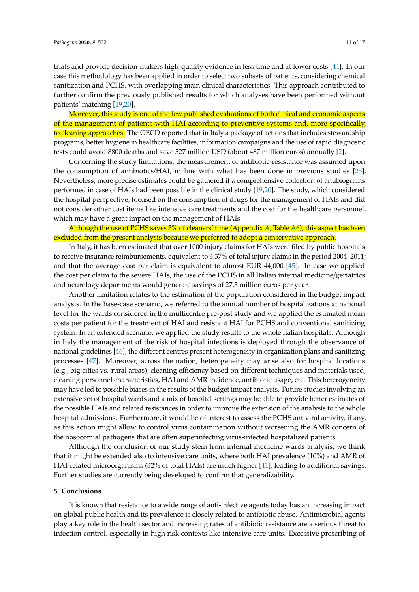trials and provide decision-makers high-quality evidence in less time and at lower costs [\[44\]](#page-16-4). In our case this methodology has been applied in order to select two subsets of patients, considering chemical sanitization and PCHS, with overlapping main clinical characteristics. This approach contributed to further confirm the previously published results for which analyses have been performed without patients' matching [\[19](#page-15-0)[,20\]](#page-15-1).

Moreover, this study is one of the few published evaluations of both clinical and economic aspects of the management of patients with HAI according to preventive systems and, more specifically, to cleaning approaches. The OECD reported that in Italy a package of actions that includes stewardship programs, better hygiene in healthcare facilities, information campaigns and the use of rapid diagnostic tests could avoid 8800 deaths and save 527 million USD (about 487 million euros) annually [\[2\]](#page-14-1).

Concerning the study limitations, the measurement of antibiotic-resistance was assumed upon the consumption of antibiotics/HAI, in line with what has been done in previous studies [\[25\]](#page-15-5). Nevertheless, more precise estimates could be gathered if a comprehensive collection of antibiograms performed in case of HAIs had been possible in the clinical study [\[19](#page-15-0)[,20\]](#page-15-1). The study, which considered the hospital perspective, focused on the consumption of drugs for the management of HAIs and did not consider other cost items like intensive care treatments and the cost for the healthcare personnel, which may have a great impact on the management of HAIs.

## Although the use of PCHS saves 3% of cleaners' time (Appendix [A,](#page-11-0) Table [A6\)](#page-13-0), this aspect has been excluded from the present analysis because we preferred to adopt a conservative approach.

In Italy, it has been estimated that over 1000 injury claims for HAIs were filed by public hospitals to receive insurance reimbursements, equivalent to 3.37% of total injury claims in the period 2004–2011; and that the average cost per claim is equivalent to almost EUR 44,000 [\[45\]](#page-16-5). In case we applied the cost per claim to the severe HAIs, the use of the PCHS in all Italian internal medicine/geriatrics and neurology departments would generate savings of 27.3 million euros per year.

Another limitation relates to the estimation of the population considered in the budget impact analysis. In the base-case scenario, we referred to the annual number of hospitalizations at national level for the wards considered in the multicentre pre-post study and we applied the estimated mean costs per patient for the treatment of HAI and resistant HAI for PCHS and conventional sanitizing system. In an extended scenario, we applied the study results to the whole Italian hospitals. Although in Italy the management of the risk of hospital infections is deployed through the observance of national guidelines [\[46\]](#page-16-6), the different centres present heterogeneity in organization plans and sanitizing processes [\[47\]](#page-16-7). Moreover, across the nation, heterogeneity may arise also for hospital locations (e.g., big cities vs. rural areas), cleaning efficiency based on different techniques and materials used, cleaning personnel characteristics, HAI and AMR incidence, antibiotic usage, etc. This heterogeneity may have led to possible biases in the results of the budget impact analysis. Future studies involving an extensive set of hospital wards and a mix of hospital settings may be able to provide better estimates of the possible HAIs and related resistances in order to improve the extension of the analysis to the whole hospital admissions. Furthermore, it would be of interest to assess the PCHS antiviral activity, if any, as this action might allow to control virus contamination without worsening the AMR concern of the nosocomial pathogens that are often superinfecting virus-infected hospitalized patients.

Although the conclusion of our study stem from internal medicine wards analysis, we think that it might be extended also to intensive care units, where both HAI prevalence (10%) and AMR of HAI-related microorganisms (32% of total HAIs) are much higher [\[41\]](#page-16-1), leading to additional savings. Further studies are currently being developed to confirm that generalizability.

#### **5. Conclusions**

It is known that resistance to a wide range of anti-infective agents today has an increasing impact on global public health and its prevalence is closely related to antibiotic abuse. Antimicrobial agents play a key role in the health sector and increasing rates of antibiotic resistance are a serious threat to infection control, especially in high risk contexts like intensive care units. Excessive prescribing of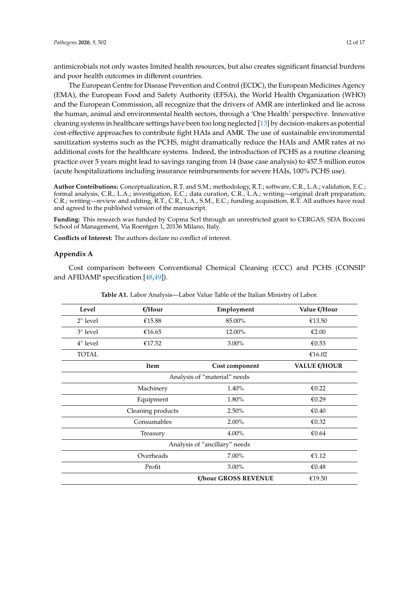antimicrobials not only wastes limited health resources, but also creates significant financial burdens and poor health outcomes in different countries.

The European Centre for Disease Prevention and Control (ECDC), the European Medicines Agency (EMA), the European Food and Safety Authority (EFSA), the World Health Organization (WHO) and the European Commission, all recognize that the drivers of AMR are interlinked and lie across the human, animal and environmental health sectors, through a 'One Health' perspective. Innovative cleaning systems in healthcare settings have been too long neglected [\[13\]](#page-14-12) by decision-makers as potential cost-effective approaches to contribute fight HAIs and AMR. The use of sustainable environmental sanitization systems such as the PCHS, might dramatically reduce the HAIs and AMR rates at no additional costs for the healthcare systems. Indeed, the introduction of PCHS as a routine cleaning practice over 5 years might lead to savings ranging from 14 (base case analysis) to 457.5 million euros (acute hospitalizations including insurance reimbursements for severe HAIs, 100% PCHS use).

**Author Contributions:** Conceptualization, R.T. and S.M.; methodology, R.T.; software, C.R., L.A.; validation, E.C.; formal analysis, C.R., L.A.; investigation, E.C.; data curation, C.R., L.A.; writing—original draft preparation, C.R.; writing—review and editing, R.T., C.R., L.A., S.M., E.C.; funding acquisition, R.T. All authors have read and agreed to the published version of the manuscript.

**Funding:** This research was funded by Copma Scrl through an unrestricted grant to CERGAS, SDA Bocconi School of Management, Via Roentgen 1, 20136 Milano, Italy.

**Conflicts of Interest:** The authors declare no conflict of interest.

#### <span id="page-11-0"></span>**Appendix A**

Cost comparison between Conventional Chemical Cleaning (CCC) and PCHS (CONSIP and AFIDAMP specification [\[48](#page-16-8)[,49\]](#page-16-9)).

| Level             | $E/H$ our         | Employment                    | Value €/Hour |
|-------------------|-------------------|-------------------------------|--------------|
| $2^{\circ}$ level | €15.88            | 85.00%                        | €13.50       |
| $3^\circ$ level   | €16.65            | 12.00%                        | €2.00        |
| $4^\circ$ level   | €17.52            | $3.00\%$                      | €0.53        |
| <b>TOTAL</b>      |                   |                               | €16.02       |
|                   | Item              | Cost component                | VALUE €/HOUR |
|                   |                   | Analysis of "material" needs  |              |
|                   | Machinery         | 1.40%                         | €0.22        |
|                   | Equipment         | 1.80%                         | €0.29        |
|                   | Cleaning products | 2.50%                         | € $0.40$     |
|                   | Consumables       | $2.00\%$                      | € $0.32$     |
|                   | Treasury          | 4.00%                         | €0.64        |
|                   |                   | Analysis of "ancillary" needs |              |
|                   | Overheads         | $7.00\%$                      | €1.12        |
|                   | Profit            | $3.00\%$                      | €0.48        |
|                   |                   | €/hour GROSS REVENUE          | €19.50       |

**Table A1.** Labor Analysis—Labor Value Table of the Italian Ministry of Labor.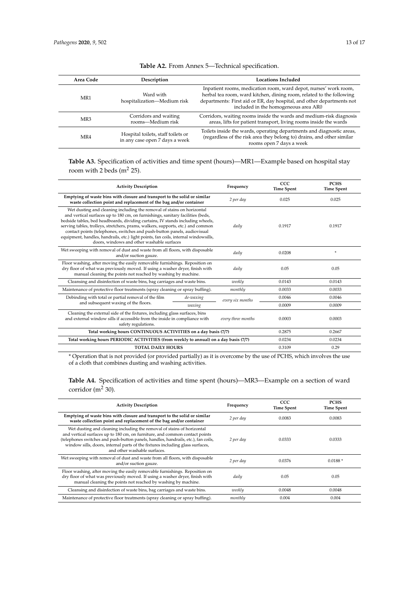| Area Code       | Description                                                          | <b>Locations Included</b>                                                                                                                                                                                                                                 |
|-----------------|----------------------------------------------------------------------|-----------------------------------------------------------------------------------------------------------------------------------------------------------------------------------------------------------------------------------------------------------|
| MR1             | Ward with<br>hospitalization-Medium risk                             | Inpatient rooms, medication room, ward depot, nurses' work room,<br>herbal tea room, ward kitchen, dining room, related to the following<br>departments: First aid or ER, day hospital, and other departments not<br>included in the homogeneous area AR0 |
| MR <sub>3</sub> | Corridors and waiting<br>rooms-Medium risk                           | Corridors, waiting rooms inside the wards and medium-risk diagnosis<br>areas, lifts for patient transport, living rooms inside the wards                                                                                                                  |
| MR4             | Hospital toilets, staff toilets or<br>in any case open 7 days a week | Toilets inside the wards, operating departments and diagnostic areas,<br>(regardless of the risk area they belong to) drains, and other similar<br>rooms open 7 days a week                                                                               |

## **Table A2.** From Annex 5—Technical specification.

**Table A3.** Specification of activities and time spent (hours)—MR1—Example based on hospital stay room with 2 beds ( $m<sup>2</sup>$  25).

| <b>Activity Description</b>                                                                                                                                                                                                                                                                                                                                                                                                                                                                                                                     |                                                                                                                                                 | Frequency        | ccc<br><b>Time Spent</b> | <b>PCHS</b><br><b>Time Spent</b> |
|-------------------------------------------------------------------------------------------------------------------------------------------------------------------------------------------------------------------------------------------------------------------------------------------------------------------------------------------------------------------------------------------------------------------------------------------------------------------------------------------------------------------------------------------------|-------------------------------------------------------------------------------------------------------------------------------------------------|------------------|--------------------------|----------------------------------|
|                                                                                                                                                                                                                                                                                                                                                                                                                                                                                                                                                 | Emptying of waste bins with closure and transport to the solid or similar<br>waste collection point and replacement of the bag and/or container |                  | 0.025                    | 0.025                            |
| Wet dusting and cleaning including the removal of stains on horizontal<br>and vertical surfaces up to 180 cm, on furnishings, sanitary facilities (beds,<br>bedside tables, bed headboards, dividing curtains, IV stands including wheels,<br>serving tables, trolleys, stretchers, prams, walkers, supports, etc.) and common<br>contact points (telephones, switches and push-button panels, audiovisual<br>equipment, handles, handrails, etc.) light points, fan coils, internal windowsills,<br>doors, windows and other washable surfaces |                                                                                                                                                 |                  | 0.1917                   | 0.1917                           |
| Wet sweeping with removal of dust and waste from all floors, with disposable<br>and/or suction gauze.                                                                                                                                                                                                                                                                                                                                                                                                                                           |                                                                                                                                                 | daily            | 0.0208                   | ÷                                |
| Floor washing, after moving the easily removable furnishings. Reposition on<br>dry floor of what was previously moved. If using a washer dryer, finish with<br>manual cleaning the points not reached by washing by machine.                                                                                                                                                                                                                                                                                                                    |                                                                                                                                                 | daily            | 0.05                     | 0.05                             |
| Cleansing and disinfection of waste bins, bag carriages and waste bins.                                                                                                                                                                                                                                                                                                                                                                                                                                                                         |                                                                                                                                                 | weekly           | 0.0143                   | 0.0143                           |
| Maintenance of protective floor treatments (spray cleaning or spray buffing).                                                                                                                                                                                                                                                                                                                                                                                                                                                                   |                                                                                                                                                 | monthly          | 0.0033                   | 0.0033                           |
| Debinding with total or partial removal of the film                                                                                                                                                                                                                                                                                                                                                                                                                                                                                             | de-waxing                                                                                                                                       | every six months | 0.0046                   | 0.0046                           |
| and subsequent waxing of the floors.                                                                                                                                                                                                                                                                                                                                                                                                                                                                                                            | waxing                                                                                                                                          |                  | 0.0009                   | 0.0009                           |
| Cleaning the external side of the fixtures, including glass surfaces, bins<br>and external window sills if accessible from the inside in compliance with<br>every three months<br>safety regulations.                                                                                                                                                                                                                                                                                                                                           |                                                                                                                                                 |                  | 0.0003                   | 0.0003                           |
| Total working hours CONTINUOUS ACTIVITIES on a day basis (7/7)                                                                                                                                                                                                                                                                                                                                                                                                                                                                                  |                                                                                                                                                 | 0.2875           | 0.2667                   |                                  |
| Total working hours PERIODIC ACTIVITIES (from weekly to annual) on a day basis (7/7)                                                                                                                                                                                                                                                                                                                                                                                                                                                            |                                                                                                                                                 | 0.0234           | 0.0234                   |                                  |
| <b>TOTAL DAILY HOURS</b>                                                                                                                                                                                                                                                                                                                                                                                                                                                                                                                        |                                                                                                                                                 | 0.3109           | 0.29                     |                                  |

\* Operation that is not provided (or provided partially) as it is overcome by the use of PCHS, which involves the use of a cloth that combines dusting and washing activities.

**Table A4.** Specification of activities and time spent (hours)—MR3—Example on a section of ward corridor ( $m<sup>2</sup>$  30).

| <b>Activity Description</b>                                                                                                                                                                                                                                                                                                                                  | Frequency | CCC<br><b>Time Spent</b> | <b>PCHS</b><br><b>Time Spent</b> |
|--------------------------------------------------------------------------------------------------------------------------------------------------------------------------------------------------------------------------------------------------------------------------------------------------------------------------------------------------------------|-----------|--------------------------|----------------------------------|
| Emptying of waste bins with closure and transport to the solid or similar<br>waste collection point and replacement of the bag and/or container                                                                                                                                                                                                              | 2 per day | 0.0083                   | 0.0083                           |
| Wet dusting and cleaning including the removal of stains of horizontal<br>and vertical surfaces up to 180 cm, on furniture, and common contact points<br>(telephones switches and push-button panels, handles, handrails, etc.), fan coils,<br>window sills, doors, internal parts of the fixtures including glass surfaces,<br>and other washable surfaces. | 2 per day | 0.0333                   | 0.0333                           |
| Wet sweeping with removal of dust and waste from all floors, with disposable<br>and/or suction gauze.                                                                                                                                                                                                                                                        | 2 per day | 0.0376                   | $0.0188*$                        |
| Floor washing, after moving the easily removable furnishings. Reposition on<br>dry floor of what was previously moved. If using a washer dryer, finish with<br>manual cleaning the points not reached by washing by machine.                                                                                                                                 | daily     | 0.05                     | 0.05                             |
| Cleansing and disinfection of waste bins, bag carriages and waste bins.                                                                                                                                                                                                                                                                                      | weekly    | 0.0048                   | 0.0048                           |
| Maintenance of protective floor treatments (spray cleaning or spray buffing).                                                                                                                                                                                                                                                                                | monthly   | 0.004                    | 0.004                            |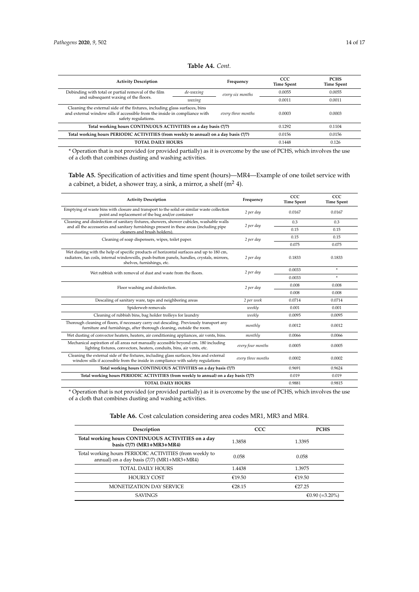### **Table A4.** *Cont.*

| <b>Activity Description</b>                                                                                                                                                     |           | Frequency        | CCC.<br><b>Time Spent</b> | <b>PCHS</b><br><b>Time Spent</b> |
|---------------------------------------------------------------------------------------------------------------------------------------------------------------------------------|-----------|------------------|---------------------------|----------------------------------|
| Debinding with total or partial removal of the film                                                                                                                             | de-waxing | every six months | 0.0055                    | 0.0055                           |
| and subsequent waxing of the floors.                                                                                                                                            | waxing    |                  | 0.0011                    | 0.0011                           |
| Cleaning the external side of the fixtures, including glass surfaces, bins<br>and external window sills if accessible from the inside in compliance with<br>safety regulations. | 0.0003    | 0.0003           |                           |                                  |
| Total working hours CONTINUOUS ACTIVITIES on a day basis (7/7)                                                                                                                  |           |                  | 0.1292                    | 0.1104                           |
| Total working hours PERIODIC ACTIVITIES (from weekly to annual) on a day basis (7/7)                                                                                            |           |                  | 0.0156                    | 0.0156                           |
| <b>TOTAL DAILY HOURS</b>                                                                                                                                                        |           |                  | 0.1448                    | 0.126                            |

\* Operation that is not provided (or provided partially) as it is overcome by the use of PCHS, which involves the use of a cloth that combines dusting and washing activities.

**Table A5.** Specification of activities and time spent (hours)—MR4—Example of one toilet service with a cabinet, a bidet, a shower tray, a sink, a mirror, a shelf ( $m<sup>2</sup>$  4).

| <b>Activity Description</b>                                                                                                                                                                                          | Frequency          | CCC<br><b>Time Spent</b> | CCC<br><b>Time Spent</b> |
|----------------------------------------------------------------------------------------------------------------------------------------------------------------------------------------------------------------------|--------------------|--------------------------|--------------------------|
| Emptying of waste bins with closure and transport to the solid or similar waste collection<br>point and replacement of the bag and/or container                                                                      | 2 per day          | 0.0167                   | 0.0167                   |
| Cleaning and disinfection of sanitary fixtures, showers, shower cubicles, washable walls                                                                                                                             | 2 per day          | 0.3                      | 0.3                      |
| and all the accessories and sanitary furnishings present in these areas (including pipe<br>cleaners and brush holders)                                                                                               |                    | 0.15                     | 0.15                     |
| Cleaning of soap dispensers, wipes, toilet paper.                                                                                                                                                                    | 2 per day          | 0.15                     | 0.15                     |
|                                                                                                                                                                                                                      |                    | 0.075                    | 0.075                    |
| Wet dusting with the help of specific products of horizontal surfaces and up to 180 cm,<br>radiators, fan coils, internal windowsills, push-button panels, handles, crystals, mirrors,<br>shelves, furnishings, etc. | 2 per day          | 0.1833                   | 0.1833                   |
| Wet rubbish with removal of dust and waste from the floors.                                                                                                                                                          | 2 per day          | 0.0033                   | $\ast$                   |
|                                                                                                                                                                                                                      |                    | 0.0033                   | $\ast$                   |
| Floor washing and disinfection.                                                                                                                                                                                      | 2 per day          | 0.008                    | 0.008                    |
|                                                                                                                                                                                                                      |                    | 0.008                    | 0.008                    |
| Descaling of sanitary ware, taps and neighboring areas                                                                                                                                                               | 2 per week         | 0.0714                   | 0.0714                   |
| Spiderweb removals                                                                                                                                                                                                   | weekly             | 0.001                    | 0.001                    |
| Cleaning of rubbish bins, bag holder trolleys for laundry                                                                                                                                                            | weekly             | 0.0095                   | 0.0095                   |
| Thorough cleaning of floors, if necessary carry out descaling. Previously transport any<br>furniture and furnishings, after thorough cleaning, outside the room.                                                     | monthly            | 0.0012                   | 0.0012                   |
| Wet dusting of convector heaters, heaters, air conditioning appliances, air vents, bins.                                                                                                                             | monthly            | 0.0066                   | 0.0066                   |
| Mechanical aspiration of all areas not manually accessible beyond cm. 180 including<br>lighting fixtures, convectors, heaters, conduits, bins, air vents, etc.                                                       | every four months  | 0.0005                   | 0.0005                   |
| Cleaning the external side of the fixtures, including glass surfaces, bins and external<br>window sills if accessible from the inside in compliance with safety regulations                                          | every three months | 0.0002                   | 0.0002                   |
| Total working hours CONTINUOUS ACTIVITIES on a day basis (7/7)                                                                                                                                                       | 0.9691             | 0.9624                   |                          |
| Total working hours PERIODIC ACTIVITIES (from weekly to annual) on a day basis (7/7)                                                                                                                                 |                    | 0.019                    | 0.019                    |
| <b>TOTAL DAILY HOURS</b>                                                                                                                                                                                             |                    | 0.9881                   | 0.9815                   |
|                                                                                                                                                                                                                      |                    |                          |                          |

<span id="page-13-0"></span>\* Operation that is not provided (or provided partially) as it is overcome by the use of PCHS, which involves the use of a cloth that combines dusting and washing activities.

| Description                                                                                           | <b>CCC</b> | <b>PCHS</b>    |
|-------------------------------------------------------------------------------------------------------|------------|----------------|
| Total working hours CONTINUOUS ACTIVITIES on a day<br>basis (7/7) (MR1+MR3+MR4)                       | 1.3858     | 1.3395         |
| Total working hours PERIODIC ACTIVITIES (from weekly to<br>annual) on a day basis (7/7) (MR1+MR3+MR4) | 0.058      | 0.058          |
| TOTAL DAILY HOURS                                                                                     | 1.4438     | 1.3975         |
| <b>HOURLY COST</b>                                                                                    | €19.50     | €19.50         |
| <b>MONETIZATION DAY SERVICE</b>                                                                       | €28.15     | €27.25         |
| <b>SAVINGS</b>                                                                                        |            | €0.90 (=3.20%) |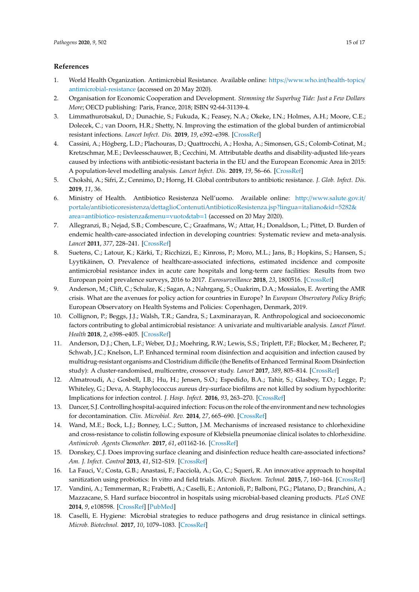## **References**

- <span id="page-14-0"></span>1. World Health Organization. Antimicrobial Resistance. Available online: https://[www.who.int](https://www.who.int/health-topics/antimicrobial-resistance)/health-topics/ [antimicrobial-resistance](https://www.who.int/health-topics/antimicrobial-resistance) (accessed on 20 May 2020).
- <span id="page-14-1"></span>2. Organisation for Economic Cooperation and Development. *Stemming the Superbug Tide: Just a Few Dollars More*; OECD publishing: Paris, France, 2018; ISBN 92-64-31139-4.
- <span id="page-14-2"></span>3. Limmathurotsakul, D.; Dunachie, S.; Fukuda, K.; Feasey, N.A.; Okeke, I.N.; Holmes, A.H.; Moore, C.E.; Dolecek, C.; van Doorn, H.R.; Shetty, N. Improving the estimation of the global burden of antimicrobial resistant infections. *Lancet Infect. Dis.* **2019**, *19*, e392–e398. [\[CrossRef\]](http://dx.doi.org/10.1016/S1473-3099(19)30276-2)
- <span id="page-14-3"></span>4. Cassini, A.; Högberg, L.D.; Plachouras, D.; Quattrocchi, A.; Hoxha, A.; Simonsen, G.S.; Colomb-Cotinat, M.; Kretzschmar, M.E.; Devleesschauwer, B.; Cecchini, M. Attributable deaths and disability-adjusted life-years caused by infections with antibiotic-resistant bacteria in the EU and the European Economic Area in 2015: A population-level modelling analysis. *Lancet Infect. Dis.* **2019**, *19*, 56–66. [\[CrossRef\]](http://dx.doi.org/10.1016/S1473-3099(18)30605-4)
- <span id="page-14-4"></span>5. Chokshi, A.; Sifri, Z.; Cennimo, D.; Horng, H. Global contributors to antibiotic resistance. *J. Glob. Infect. Dis.* **2019**, *11*, 36.
- <span id="page-14-5"></span>6. Ministry of Health. Antibiotico Resistenza Nell'uomo. Available online: http://[www.salute.gov.it](http://www.salute.gov.it/portale/antibioticoresistenza/dettaglioContenutiAntibioticoResistenza.jsp?lingua=italiano&id=5282&area=antibiotico-resistenza&menu=vuoto&tab=1)/ portale/antibioticoresistenza/[dettaglioContenutiAntibioticoResistenza.jsp?lingua](http://www.salute.gov.it/portale/antibioticoresistenza/dettaglioContenutiAntibioticoResistenza.jsp?lingua=italiano&id=5282&area=antibiotico-resistenza&menu=vuoto&tab=1)=italiano&id=5282& area=[antibiotico-resistenza&menu](http://www.salute.gov.it/portale/antibioticoresistenza/dettaglioContenutiAntibioticoResistenza.jsp?lingua=italiano&id=5282&area=antibiotico-resistenza&menu=vuoto&tab=1)=vuoto&tab=1 (accessed on 20 May 2020).
- <span id="page-14-6"></span>7. Allegranzi, B.; Nejad, S.B.; Combescure, C.; Graafmans, W.; Attar, H.; Donaldson, L.; Pittet, D. Burden of endemic health-care-associated infection in developing countries: Systematic review and meta-analysis. *Lancet* **2011**, *377*, 228–241. [\[CrossRef\]](http://dx.doi.org/10.1016/S0140-6736(10)61458-4)
- <span id="page-14-7"></span>8. Suetens, C.; Latour, K.; Kärki, T.; Ricchizzi, E.; Kinross, P.; Moro, M.L.; Jans, B.; Hopkins, S.; Hansen, S.; Lyytikäinen, O. Prevalence of healthcare-associated infections, estimated incidence and composite antimicrobial resistance index in acute care hospitals and long-term care facilities: Results from two European point prevalence surveys, 2016 to 2017. *Eurosurveillance* **2018**, *23*, 1800516. [\[CrossRef\]](http://dx.doi.org/10.2807/1560-7917.ES.2018.23.46.1800516)
- <span id="page-14-8"></span>9. Anderson, M.; Clift, C.; Schulze, K.; Sagan, A.; Nahrgang, S.; Ouakrim, D.A.; Mossialos, E. Averting the AMR crisis. What are the avenues for policy action for countries in Europe? In *European Observatory Policy Briefs*; European Observatory on Health Systems and Policies: Copenhagen, Denmark, 2019.
- <span id="page-14-9"></span>10. Collignon, P.; Beggs, J.J.; Walsh, T.R.; Gandra, S.; Laxminarayan, R. Anthropological and socioeconomic factors contributing to global antimicrobial resistance: A univariate and multivariable analysis. *Lancet Planet. Health* **2018**, *2*, e398–e405. [\[CrossRef\]](http://dx.doi.org/10.1016/S2542-5196(18)30186-4)
- <span id="page-14-10"></span>11. Anderson, D.J.; Chen, L.F.; Weber, D.J.; Moehring, R.W.; Lewis, S.S.; Triplett, P.F.; Blocker, M.; Becherer, P.; Schwab, J.C.; Knelson, L.P. Enhanced terminal room disinfection and acquisition and infection caused by multidrug-resistant organisms and Clostridium difficile (the Benefits of Enhanced Terminal Room Disinfection study): A cluster-randomised, multicentre, crossover study. *Lancet* **2017**, *389*, 805–814. [\[CrossRef\]](http://dx.doi.org/10.1016/S0140-6736(16)31588-4)
- <span id="page-14-11"></span>12. Almatroudi, A.; Gosbell, I.B.; Hu, H.; Jensen, S.O.; Espedido, B.A.; Tahir, S.; Glasbey, T.O.; Legge, P.; Whiteley, G.; Deva, A. Staphylococcus aureus dry-surface biofilms are not killed by sodium hypochlorite: Implications for infection control. *J. Hosp. Infect.* **2016**, *93*, 263–270. [\[CrossRef\]](http://dx.doi.org/10.1016/j.jhin.2016.03.020)
- <span id="page-14-12"></span>13. Dancer, S.J. Controlling hospital-acquired infection: Focus on the role of the environment and new technologies for decontamination. *Clin. Microbiol. Rev.* **2014**, *27*, 665–690. [\[CrossRef\]](http://dx.doi.org/10.1128/CMR.00020-14)
- <span id="page-14-13"></span>14. Wand, M.E.; Bock, L.J.; Bonney, L.C.; Sutton, J.M. Mechanisms of increased resistance to chlorhexidine and cross-resistance to colistin following exposure of Klebsiella pneumoniae clinical isolates to chlorhexidine. *Antimicrob. Agents Chemother.* **2017**, *61*, e01162-16. [\[CrossRef\]](http://dx.doi.org/10.1128/AAC.01162-16)
- <span id="page-14-14"></span>15. Donskey, C.J. Does improving surface cleaning and disinfection reduce health care-associated infections? *Am. J. Infect. Control* **2013**, *41*, S12–S19. [\[CrossRef\]](http://dx.doi.org/10.1016/j.ajic.2012.12.010)
- <span id="page-14-15"></span>16. La Fauci, V.; Costa, G.B.; Anastasi, F.; Facciolà, A.; Go, C.; Squeri, R. An innovative approach to hospital sanitization using probiotics: In vitro and field trials. *Microb. Biochem. Technol.* **2015**, *7*, 160–164. [\[CrossRef\]](http://dx.doi.org/10.4172/1948-5948.1000198)
- <span id="page-14-16"></span>17. Vandini, A.; Temmerman, R.; Frabetti, A.; Caselli, E.; Antonioli, P.; Balboni, P.G.; Platano, D.; Branchini, A.; Mazzacane, S. Hard surface biocontrol in hospitals using microbial-based cleaning products. *PLoS ONE* **2014**, *9*, e108598. [\[CrossRef\]](http://dx.doi.org/10.1371/journal.pone.0108598) [\[PubMed\]](http://www.ncbi.nlm.nih.gov/pubmed/25259528)
- 18. Caselli, E. Hygiene: Microbial strategies to reduce pathogens and drug resistance in clinical settings. *Microb. Biotechnol.* **2017**, *10*, 1079–1083. [\[CrossRef\]](http://dx.doi.org/10.1111/1751-7915.12755)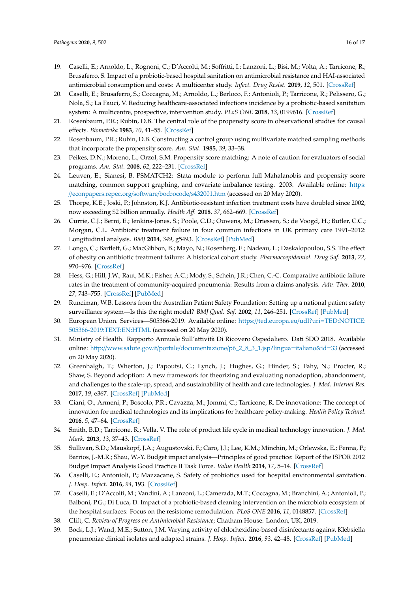- <span id="page-15-0"></span>19. Caselli, E.; Arnoldo, L.; Rognoni, C.; D'Accolti, M.; Soffritti, I.; Lanzoni, L.; Bisi, M.; Volta, A.; Tarricone, R.; Brusaferro, S. Impact of a probiotic-based hospital sanitation on antimicrobial resistance and HAI-associated antimicrobial consumption and costs: A multicenter study. *Infect. Drug Resist.* **2019**, *12*, 501. [\[CrossRef\]](http://dx.doi.org/10.2147/IDR.S194670)
- <span id="page-15-1"></span>20. Caselli, E.; Brusaferro, S.; Coccagna, M.; Arnoldo, L.; Berloco, F.; Antonioli, P.; Tarricone, R.; Pelissero, G.; Nola, S.; La Fauci, V. Reducing healthcare-associated infections incidence by a probiotic-based sanitation system: A multicentre, prospective, intervention study. *PLoS ONE* **2018**, *13*, 0199616. [\[CrossRef\]](http://dx.doi.org/10.1371/journal.pone.0199616)
- <span id="page-15-2"></span>21. Rosenbaum, P.R.; Rubin, D.B. The central role of the propensity score in observational studies for causal effects. *Biometrika* **1983**, *70*, 41–55. [\[CrossRef\]](http://dx.doi.org/10.1093/biomet/70.1.41)
- 22. Rosenbaum, P.R.; Rubin, D.B. Constructing a control group using multivariate matched sampling methods that incorporate the propensity score. *Am. Stat.* **1985**, *39*, 33–38.
- <span id="page-15-3"></span>23. Peikes, D.N.; Moreno, L.; Orzol, S.M. Propensity score matching: A note of caution for evaluators of social programs. *Am. Stat.* **2008**, *62*, 222–231. [\[CrossRef\]](http://dx.doi.org/10.1198/000313008X332016)
- <span id="page-15-4"></span>24. Leuven, E.; Sianesi, B. PSMATCH2: Stata module to perform full Mahalanobis and propensity score matching, common support graphing, and covariate imbalance testing. 2003. Available online: [https:](https://econpapers.repec.org/software/bocbocode/s432001.htm) //[econpapers.repec.org](https://econpapers.repec.org/software/bocbocode/s432001.htm)/software/bocbocode/s432001.htm (accessed on 20 May 2020).
- <span id="page-15-5"></span>25. Thorpe, K.E.; Joski, P.; Johnston, K.J. Antibiotic-resistant infection treatment costs have doubled since 2002, now exceeding \$2 billion annually. *Health A*ff*.* **2018**, *37*, 662–669. [\[CrossRef\]](http://dx.doi.org/10.1377/hlthaff.2017.1153)
- 26. Currie, C.J.; Berni, E.; Jenkins-Jones, S.; Poole, C.D.; Ouwens, M.; Driessen, S.; de Voogd, H.; Butler, C.C.; Morgan, C.L. Antibiotic treatment failure in four common infections in UK primary care 1991–2012: Longitudinal analysis. *BMJ* **2014**, *349*, g5493. [\[CrossRef\]](http://dx.doi.org/10.1136/bmj.g5493) [\[PubMed\]](http://www.ncbi.nlm.nih.gov/pubmed/25249162)
- 27. Longo, C.; Bartlett, G.; MacGibbon, B.; Mayo, N.; Rosenberg, E.; Nadeau, L.; Daskalopoulou, S.S. The effect of obesity on antibiotic treatment failure: A historical cohort study. *Pharmacoepidemiol. Drug Saf.* **2013**, *22*, 970–976. [\[CrossRef\]](http://dx.doi.org/10.1002/pds.3461)
- <span id="page-15-6"></span>28. Hess, G.; Hill, J.W.; Raut, M.K.; Fisher, A.C.; Mody, S.; Schein, J.R.; Chen, C.-C. Comparative antibiotic failure rates in the treatment of community-acquired pneumonia: Results from a claims analysis. *Adv. Ther.* **2010**, *27*, 743–755. [\[CrossRef\]](http://dx.doi.org/10.1007/s12325-010-0062-1) [\[PubMed\]](http://www.ncbi.nlm.nih.gov/pubmed/20799007)
- <span id="page-15-7"></span>29. Runciman, W.B. Lessons from the Australian Patient Safety Foundation: Setting up a national patient safety surveillance system—Is this the right model? *BMJ Qual. Saf.* **2002**, *11*, 246–251. [\[CrossRef\]](http://dx.doi.org/10.1136/qhc.11.3.246) [\[PubMed\]](http://www.ncbi.nlm.nih.gov/pubmed/12486989)
- <span id="page-15-8"></span>30. European Union. Services—505366-2019. Available online: https://ted.europa.eu/udl?uri=[TED:NOTICE:](https://ted.europa.eu/udl?uri=TED:NOTICE:505366-2019:TEXT:EN:HTML) [505366-2019:TEXT:EN:HTML](https://ted.europa.eu/udl?uri=TED:NOTICE:505366-2019:TEXT:EN:HTML) (accessed on 20 May 2020).
- <span id="page-15-9"></span>31. Ministry of Health. Rapporto Annuale Sull'attività Di Ricovero Ospedaliero. Dati SDO 2018. Available online: http://www.salute.gov.it/portale/documentazione/[p6\\_2\\_8\\_3\\_1.jsp?lingua](http://www.salute.gov.it/portale/documentazione/p6_2_8_3_1.jsp?lingua=italiano&id=33)=italiano&id=33 (accessed on 20 May 2020).
- <span id="page-15-10"></span>32. Greenhalgh, T.; Wherton, J.; Papoutsi, C.; Lynch, J.; Hughes, G.; Hinder, S.; Fahy, N.; Procter, R.; Shaw, S. Beyond adoption: A new framework for theorizing and evaluating nonadoption, abandonment, and challenges to the scale-up, spread, and sustainability of health and care technologies. *J. Med. Internet Res.* **2017**, *19*, e367. [\[CrossRef\]](http://dx.doi.org/10.2196/jmir.8775) [\[PubMed\]](http://www.ncbi.nlm.nih.gov/pubmed/29092808)
- 33. Ciani, O.; Armeni, P.; Boscolo, P.R.; Cavazza, M.; Jommi, C.; Tarricone, R. De innovatione: The concept of innovation for medical technologies and its implications for healthcare policy-making. *Health Policy Technol.* **2016**, *5*, 47–64. [\[CrossRef\]](http://dx.doi.org/10.1016/j.hlpt.2015.10.005)
- <span id="page-15-11"></span>34. Smith, B.D.; Tarricone, R.; Vella, V. The role of product life cycle in medical technology innovation. *J. Med. Mark.* **2013**, *13*, 37–43. [\[CrossRef\]](http://dx.doi.org/10.1177/1745790413476876)
- <span id="page-15-12"></span>35. Sullivan, S.D.; Mauskopf, J.A.; Augustovski, F.; Caro, J.J.; Lee, K.M.; Minchin, M.; Orlewska, E.; Penna, P.; Barrios, J.-M.R.; Shau, W.-Y. Budget impact analysis—Principles of good practice: Report of the ISPOR 2012 Budget Impact Analysis Good Practice II Task Force. *Value Health* **2014**, *17*, 5–14. [\[CrossRef\]](http://dx.doi.org/10.1016/j.jval.2013.08.2291)
- <span id="page-15-13"></span>36. Caselli, E.; Antonioli, P.; Mazzacane, S. Safety of probiotics used for hospital environmental sanitation. *J. Hosp. Infect.* **2016**, *94*, 193. [\[CrossRef\]](http://dx.doi.org/10.1016/j.jhin.2016.06.021)
- <span id="page-15-14"></span>37. Caselli, E.; D'Accolti, M.; Vandini, A.; Lanzoni, L.; Camerada, M.T.; Coccagna, M.; Branchini, A.; Antonioli, P.; Balboni, P.G.; Di Luca, D. Impact of a probiotic-based cleaning intervention on the microbiota ecosystem of the hospital surfaces: Focus on the resistome remodulation. *PLoS ONE* **2016**, *11*, 0148857. [\[CrossRef\]](http://dx.doi.org/10.1371/journal.pone.0148857)
- <span id="page-15-15"></span>38. Clift, C. *Review of Progress on Antimicrobial Resistance*; Chatham House: London, UK, 2019.
- <span id="page-15-16"></span>39. Bock, L.J.; Wand, M.E.; Sutton, J.M. Varying activity of chlorhexidine-based disinfectants against Klebsiella pneumoniae clinical isolates and adapted strains. *J. Hosp. Infect.* **2016**, *93*, 42–48. [\[CrossRef\]](http://dx.doi.org/10.1016/j.jhin.2015.12.019) [\[PubMed\]](http://www.ncbi.nlm.nih.gov/pubmed/26899354)